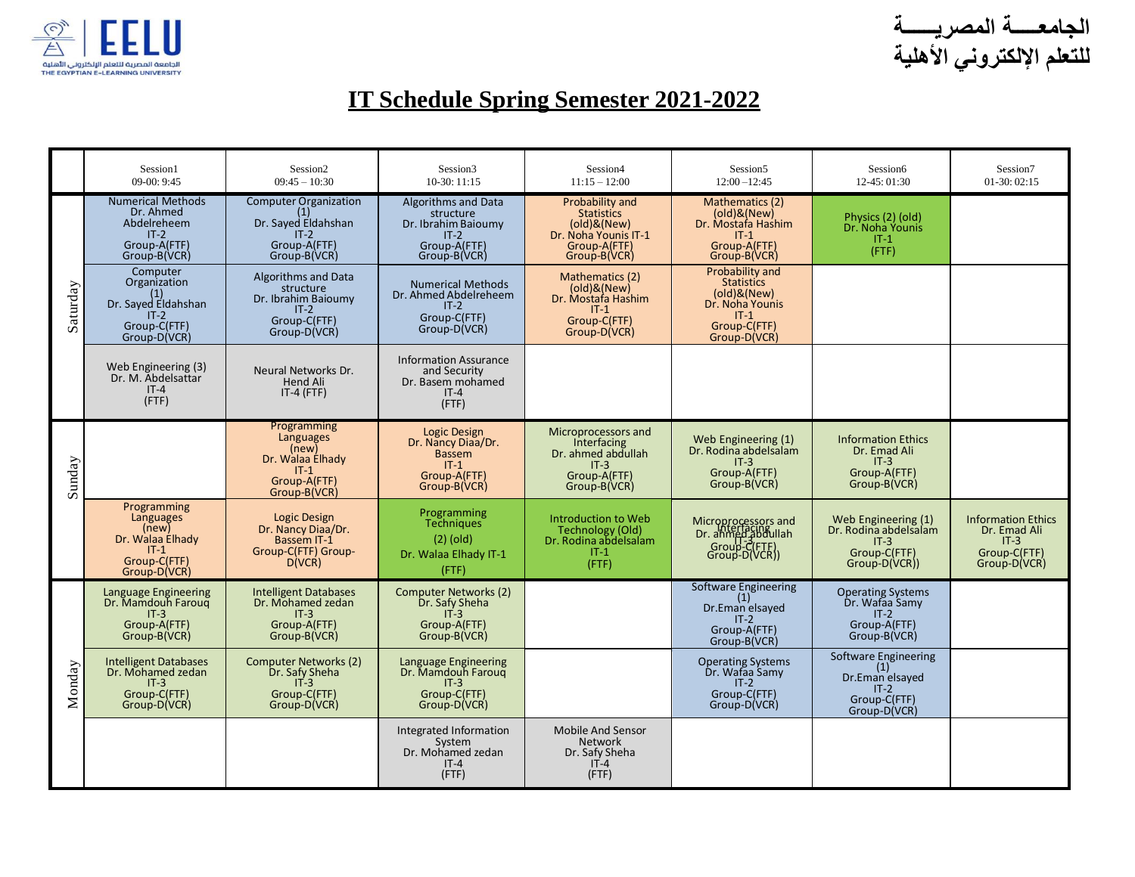



## **IT Schedule Spring Semester 2021-2022**

|          | Session1<br>$09-00:9:45$                                                                        | Session <sub>2</sub><br>$09:45 - 10:30$                                                              | Session <sub>3</sub><br>$10-30:11:15$                                                                    | Session4<br>$11:15 - 12:00$                                                                                         | Session5<br>$12:00 - 12:45$                                                                                      | Session6<br>12-45: 01:30                                                                 | Session7<br>$01-30:02:15$                                                           |
|----------|-------------------------------------------------------------------------------------------------|------------------------------------------------------------------------------------------------------|----------------------------------------------------------------------------------------------------------|---------------------------------------------------------------------------------------------------------------------|------------------------------------------------------------------------------------------------------------------|------------------------------------------------------------------------------------------|-------------------------------------------------------------------------------------|
| Saturday | <b>Numerical Methods</b><br>Dr. Ahmed<br>Abdelreheem<br>$IT-2$<br>Group-A(FTF)<br>Group-B(VCR)  | <b>Computer Organization</b><br>(1)<br>Dr. Sayed Eldahshan<br>$IT-2$<br>Group-A(FTF)<br>Group-B(VCR) | <b>Algorithms and Data</b><br>structure<br>Dr. Ibrahim Baioumy<br>$IT-2$<br>Group-A(FTF)<br>Group-B(VCR) | Probability and<br><b>Statistics</b><br>(old)&(New)<br>Dr. Noha Younis IT-1<br>Group-A(FTF)<br>Group-B(VCR)         | Mathematics (2)<br>$\text{(old)}\&\text{(New)}$<br>Dr. Mostafa Hashim<br>$IT-1$<br>Group-A(FTF)<br>Group-B(VCR)  | Physics (2) (old)<br>Dr. Noha Younis<br>$IT-1$<br>(FTF)                                  |                                                                                     |
|          | Computer<br>Organization<br>Dr. Sayed Eldahshan<br>$IT-2$<br>Group-C(FTF)<br>Group-D(VCR)       | Algorithms and Data<br>structure<br>Dr. Ibrahim Baioumy<br>$IT-2$<br>Group-C(FTF)<br>Group-D(VCR)    | <b>Numerical Methods</b><br>Dr. Ahmed Abdelreheem<br>$IT-2$<br>Group-C(FTF)<br>Group-D(VCR)              | Mathematics (2)<br>$\textsf{(old)}\&\textsf{(New)}$<br>Dr. Mostafa Hashim<br>$IT-1$<br>Group-C(FTF)<br>Group-D(VCR) | Probability and<br><b>Statistics</b><br>(old)&(New)<br>Dr. Noha Younis<br>$IT-1$<br>Group-C(FTF)<br>Group-D(VCR) |                                                                                          |                                                                                     |
|          | Web Engineering (3)<br>Dr. M. Abdelsattar<br>$IT-4$<br>(FTF)                                    | Neural Networks Dr.<br><b>Hend Ali</b><br>$IT-4$ (FTF)                                               | <b>Information Assurance</b><br>and Security<br>Dr. Basem mohamed<br>$IT-4$<br>$($ FTF $)$               |                                                                                                                     |                                                                                                                  |                                                                                          |                                                                                     |
| Sunday   |                                                                                                 | Programming<br>Languages<br>(new)<br>Dr. Walaa Elhady<br>$IT-1$<br>Group-A(FTF)<br>Group-B(VCR)      | Logic Design<br>Dr. Nancy Diaa/Dr.<br><b>Bassem</b><br>$IT-1$<br>Group-A(FTF)<br>Group-B(VCR)            | Microprocessors and<br>Interfacing<br>Dr. ahmed abdullah<br>$IT-3$<br>Group-A(FTF)<br>Group-B(VCR)                  | Web Engineering (1)<br>Dr. Rodina abdelsalam<br>$IT-3$<br>Group-A(FTF)<br>Group-B(VCR)                           | <b>Information Ethics</b><br>Dr. Emad Ali<br>$IT-3$<br>Group-A(FTF)<br>Group-B(VCR)      |                                                                                     |
|          | Programming<br>Languages<br>(new)<br>Dr. Walaa Elhady<br>$IT-1$<br>Group-C(FTF)<br>Group-D(VCR) | <b>Logic Design</b><br>Dr. Nancy Diaa/Dr.<br><b>Bassem IT-1</b><br>Group-C(FTF) Group-<br>D(VCR)     | Programming<br><b>Techniques</b><br>$(2)$ (old)<br>Dr. Walaa Elhady IT-1<br>$($ FTF $)$                  | Introduction to Web<br>Technology (Old)<br>Dr. Rodina abdelsalam<br>$IT-1$<br>$($ FTF $)$                           | Microprocessors and<br>Dr. ahmed.abdullah<br>Group-C(FTF)<br>Group-D(VCR))                                       | Web Engineering (1)<br>Dr. Rodina abdelsalam<br>$IT-3$<br>Group-C(FTF)<br>Group-D(VCR))  | <b>Information Ethics</b><br>Dr. Emad Ali<br>$IT-3$<br>Group-C(FTF)<br>Group-D(VCR) |
| Monday   | <b>Language Engineering</b><br>Dr. Mamdouh Faroug<br>$IT-3$<br>Group-A(FTF)<br>Group-B(VCR)     | <b>Intelligent Databases</b><br>Dr. Mohamed zedan<br>$IT-3$<br>Group-A(FTF)<br>Group-B(VCR)          | <b>Computer Networks (2)</b><br>Dr. Safy Sheha<br>$IT-3$<br>Group-A(FTF)<br>Group-B(VCR)                 |                                                                                                                     | <b>Software Engineering</b><br>(1)<br>Dr.Eman elsayed<br>$IT-2$<br>Group-A(FTF)<br>Group-B(VCR)                  | <b>Operating Systems</b><br>Dr. Wafaa Samv<br>$IT-2$<br>Group-A(FTF)<br>Group-B(VCR)     |                                                                                     |
|          | <b>Intelligent Databases</b><br>Dr. Mohamed zedan<br>$IT-3$<br>Group-C(FTF)<br>Group-D(VCR)     | <b>Computer Networks (2)</b><br>Dr. Safy Sheha<br>$IT-3$<br>Group-C(FTF)<br>Group-D(VCR)             | Language Engineering<br>Dr. Mamdouh Faroug<br>$IT-3$<br>Group-C(FTF)<br>Group-D(VCR)                     |                                                                                                                     | <b>Operating Systems</b><br>Dr. Wafaa Samy<br>$IT-2$<br>Group-C(FTF)<br>Group-D(VCR)                             | Software Engineering<br>(1)<br>Dr.Eman elsayed<br>$IT-2$<br>Group-C(FTF)<br>Group-D(VCR) |                                                                                     |
|          |                                                                                                 |                                                                                                      | Integrated Information<br>System<br>Dr. Mohamed zedan<br>$IT-4$<br>(FTF)                                 | Mobile And Sensor<br><b>Network</b><br>Dr. Safy Sheha<br>$IT-4$<br>(FTF)                                            |                                                                                                                  |                                                                                          |                                                                                     |